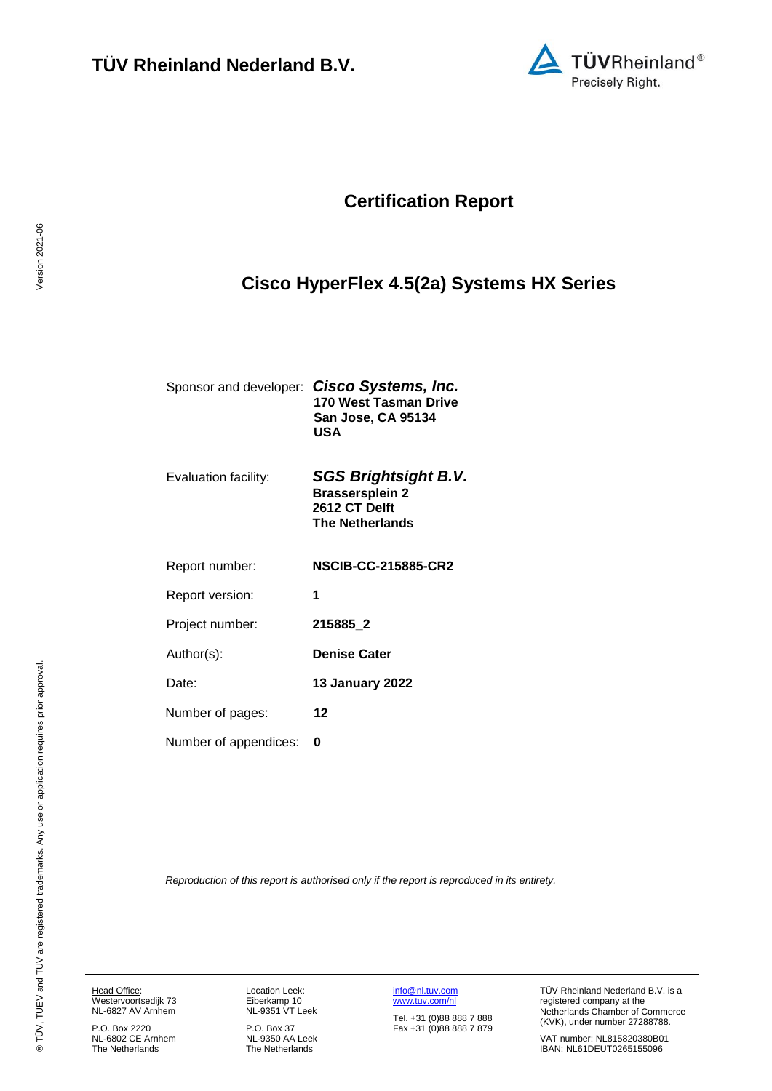

## **Certification Report**

# <span id="page-0-4"></span><span id="page-0-3"></span>**Cisco HyperFlex 4.5(2a) Systems HX Series**

<span id="page-0-1"></span><span id="page-0-0"></span>

|                       | Sponsor and developer: Cisco Systems, Inc.<br>170 West Tasman Drive<br>San Jose, CA 95134<br>USA |
|-----------------------|--------------------------------------------------------------------------------------------------|
| Evaluation facility:  | SGS Brightsight B.V.<br><b>Brassersplein 2</b><br>2612 CT Delft<br><b>The Netherlands</b>        |
| Report number:        | <b>NSCIB-CC-215885-CR2</b>                                                                       |
| Report version:       | 1                                                                                                |
| Project number:       | 215885_2                                                                                         |
| Author(s):            | <b>Denise Cater</b>                                                                              |
| Date:                 | <b>13 January 2022</b>                                                                           |
| Number of pages:      | 12                                                                                               |
| Number of appendices: | O                                                                                                |

<span id="page-0-2"></span>*Reproduction of this report is authorised only if the report is reproduced in its entirety.*

Head Office: Westervoortsedijk 73 NL-6827 AV Arnhem

P.O. Box 2220 NL-6802 CE Arnhem The Netherlands Location Leek: Eiberkamp 10 NL-9351 VT Leek

P.O. Box 37 NL-9350 AA Leek The Netherlands [info@nl.tuv.com](mailto:info@nl.tuv.com) [www.tuv.com/nl](http://www.tuv.com/nl)

Tel. +31 (0)88 888 7 888 Fax +31 (0)88 888 7 879 TÜV Rheinland Nederland B.V. is a registered company at the Netherlands Chamber of Commerce (KVK), under number 27288788.

VAT number: NL815820380B01 IBAN: NL61DEUT0265155096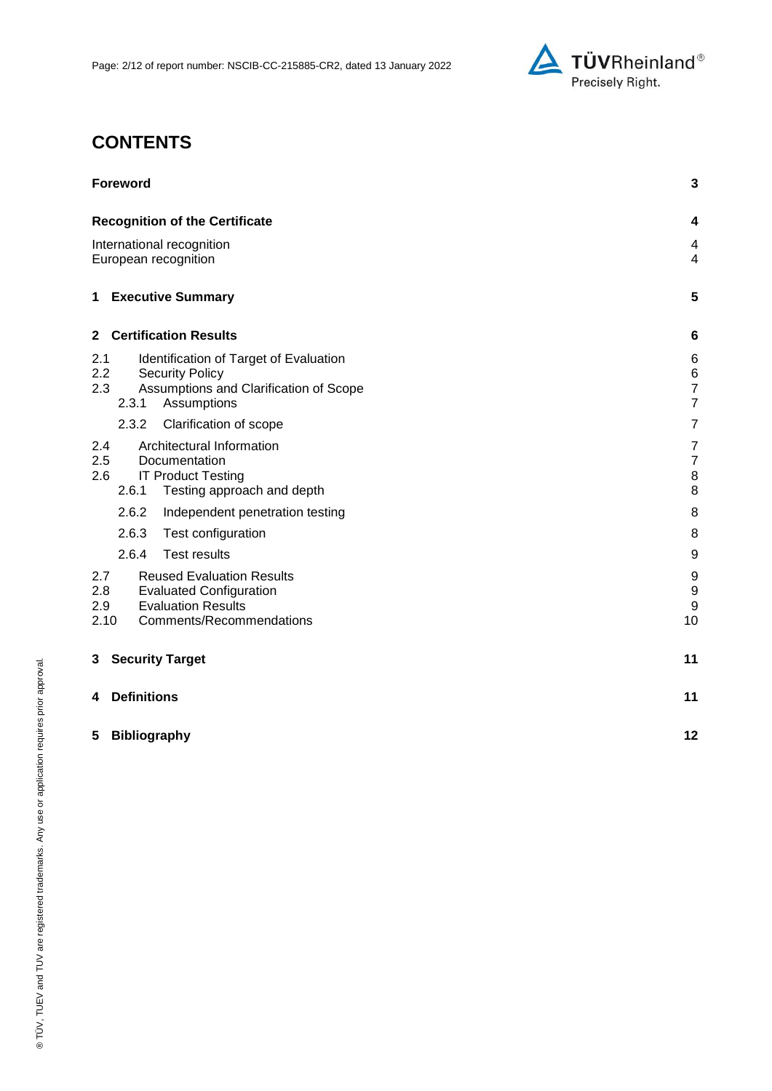

## **CONTENTS**

| <b>Foreword</b>                                                                                                                                          | 3                                              |
|----------------------------------------------------------------------------------------------------------------------------------------------------------|------------------------------------------------|
| <b>Recognition of the Certificate</b>                                                                                                                    | 4                                              |
| International recognition<br>European recognition                                                                                                        | 4<br>$\overline{4}$                            |
| 1 Executive Summary                                                                                                                                      | 5                                              |
| <b>Certification Results</b><br>$\mathbf{2}$                                                                                                             | 6                                              |
| Identification of Target of Evaluation<br>2.1<br>2.2<br><b>Security Policy</b><br>2.3<br>Assumptions and Clarification of Scope<br>2.3.1<br>Assumptions  | 6<br>$\,6$<br>$\overline{7}$<br>$\overline{7}$ |
| 2.3.2<br>Clarification of scope                                                                                                                          | $\overline{7}$                                 |
| Architectural Information<br>2.4<br>2.5<br>Documentation<br>2.6<br><b>IT Product Testing</b><br>2.6.1<br>Testing approach and depth                      | 7<br>$\overline{7}$<br>$\,$ 8 $\,$<br>8        |
| 2.6.2<br>Independent penetration testing                                                                                                                 | 8                                              |
| 2.6.3<br>Test configuration                                                                                                                              | 8                                              |
| 2.6.4<br><b>Test results</b>                                                                                                                             | $\boldsymbol{9}$                               |
| 2.7<br><b>Reused Evaluation Results</b><br>2.8<br><b>Evaluated Configuration</b><br><b>Evaluation Results</b><br>2.9<br>2.10<br>Comments/Recommendations | 9<br>9<br>9<br>10                              |
| <b>Security Target</b><br>3                                                                                                                              | 11                                             |
| <b>Definitions</b><br>4                                                                                                                                  | 11                                             |
| 5<br><b>Bibliography</b>                                                                                                                                 | 12                                             |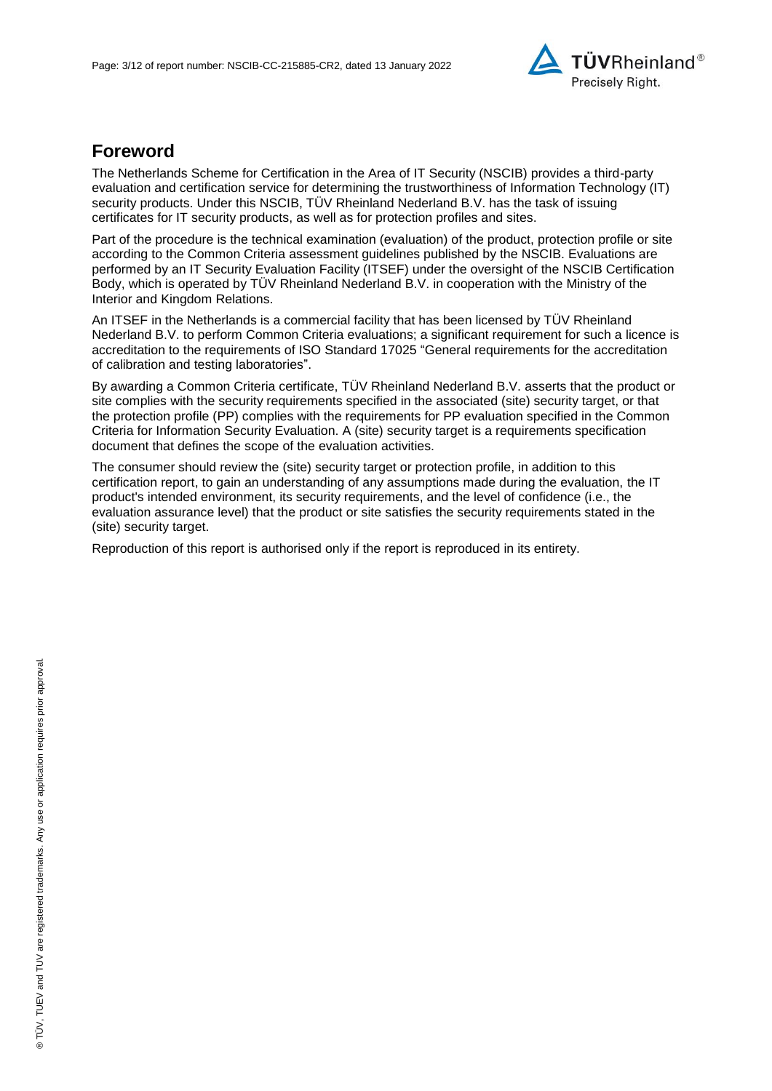

### **Foreword**

The Netherlands Scheme for Certification in the Area of IT Security (NSCIB) provides a third-party evaluation and certification service for determining the trustworthiness of Information Technology (IT) security products. Under this NSCIB, TÜV Rheinland Nederland B.V. has the task of issuing certificates for IT security products, as well as for protection profiles and sites.

Part of the procedure is the technical examination (evaluation) of the product, protection profile or site according to the Common Criteria assessment guidelines published by the NSCIB. Evaluations are performed by an IT Security Evaluation Facility (ITSEF) under the oversight of the NSCIB Certification Body, which is operated by TÜV Rheinland Nederland B.V. in cooperation with the Ministry of the Interior and Kingdom Relations.

An ITSEF in the Netherlands is a commercial facility that has been licensed by TÜV Rheinland Nederland B.V. to perform Common Criteria evaluations; a significant requirement for such a licence is accreditation to the requirements of ISO Standard 17025 "General requirements for the accreditation of calibration and testing laboratories".

By awarding a Common Criteria certificate, TÜV Rheinland Nederland B.V. asserts that the product or site complies with the security requirements specified in the associated (site) security target, or that the protection profile (PP) complies with the requirements for PP evaluation specified in the Common Criteria for Information Security Evaluation. A (site) security target is a requirements specification document that defines the scope of the evaluation activities.

The consumer should review the (site) security target or protection profile, in addition to this certification report, to gain an understanding of any assumptions made during the evaluation, the IT product's intended environment, its security requirements, and the level of confidence (i.e., the evaluation assurance level) that the product or site satisfies the security requirements stated in the (site) security target.

Reproduction of this report is authorised only if the report is reproduced in its entirety.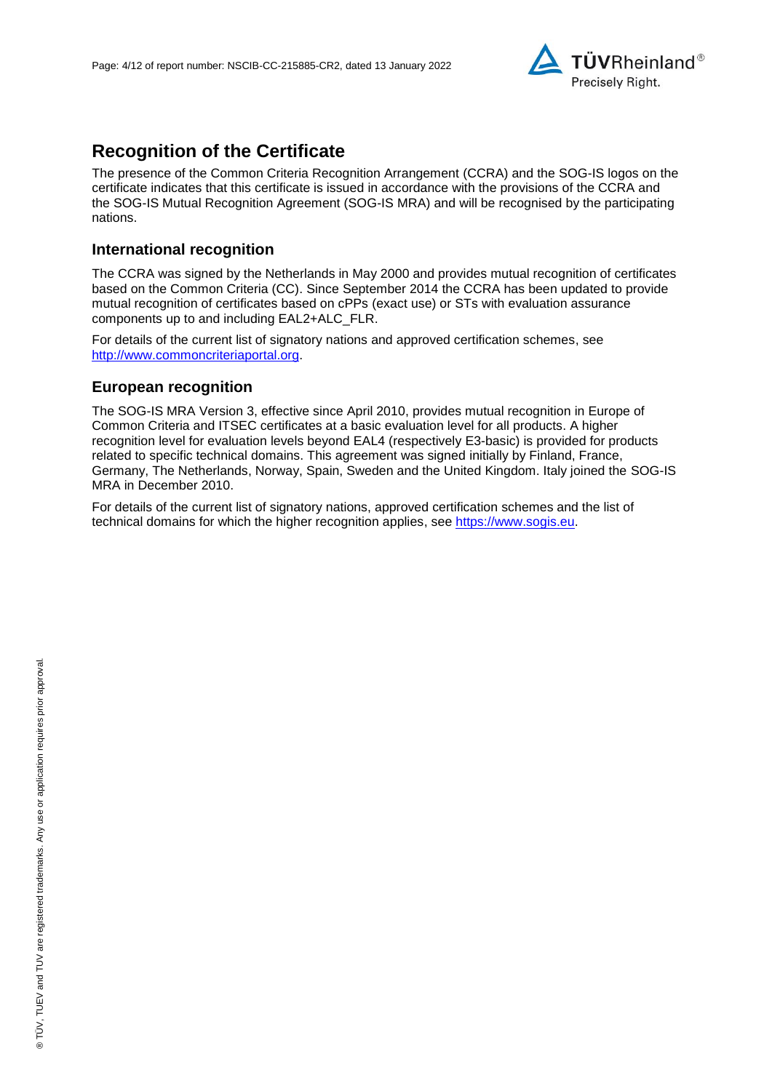

## **Recognition of the Certificate**

The presence of the Common Criteria Recognition Arrangement (CCRA) and the SOG-IS logos on the certificate indicates that this certificate is issued in accordance with the provisions of the CCRA and the SOG-IS Mutual Recognition Agreement (SOG-IS MRA) and will be recognised by the participating nations.

#### **International recognition**

The CCRA was signed by the Netherlands in May 2000 and provides mutual recognition of certificates based on the Common Criteria (CC). Since September 2014 the CCRA has been updated to provide mutual recognition of certificates based on cPPs (exact use) or STs with evaluation assurance components up to and including EAL2+ALC\_FLR.

For details of the current list of signatory nations and approved certification schemes, see [http://www.commoncriteriaportal.org.](http://www.commoncriteriaportal.org/)

#### **European recognition**

The SOG-IS MRA Version 3, effective since April 2010, provides mutual recognition in Europe of Common Criteria and ITSEC certificates at a basic evaluation level for all products. A higher recognition level for evaluation levels beyond EAL4 (respectively E3-basic) is provided for products related to specific technical domains. This agreement was signed initially by Finland, France, Germany, The Netherlands, Norway, Spain, Sweden and the United Kingdom. Italy joined the SOG-IS MRA in December 2010.

For details of the current list of signatory nations, approved certification schemes and the list of technical domains for which the higher recognition applies, see [https://www.sogis.eu.](https://www.sogis.eu/)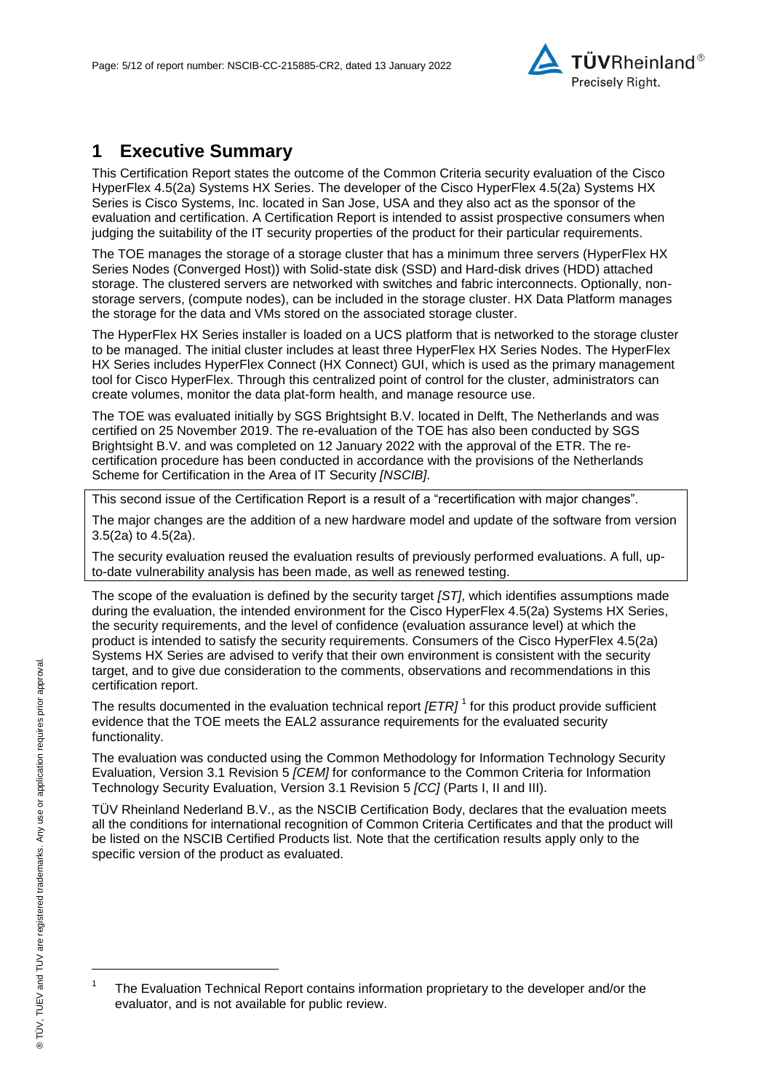

## **1 Executive Summary**

<span id="page-4-1"></span>This Certification Report states the outcome of the Common Criteria security evaluation of the [Cisco](#page-0-3)  [HyperFlex 4.5\(2a\) Systems HX Series.](#page-0-3) The developer of the [Cisco HyperFlex 4.5\(2a\) Systems HX](#page-0-3)  [Series](#page-0-3) is [Cisco Systems, Inc.](#page-0-4) located in San Jose, USA and they also act as the sponsor of the evaluation and certification. A Certification Report is intended to assist prospective consumers when judging the suitability of the IT security properties of the product for their particular requirements.

The TOE manages the storage of a storage cluster that has a minimum three servers (HyperFlex HX Series Nodes (Converged Host)) with Solid-state disk (SSD) and Hard-disk drives (HDD) attached storage. The clustered servers are networked with switches and fabric interconnects. Optionally, nonstorage servers, (compute nodes), can be included in the storage cluster. HX Data Platform manages the storage for the data and VMs stored on the associated storage cluster.

The HyperFlex HX Series installer is loaded on a UCS platform that is networked to the storage cluster to be managed. The initial cluster includes at least three HyperFlex HX Series Nodes. The HyperFlex HX Series includes HyperFlex Connect (HX Connect) GUI, which is used as the primary management tool for Cisco HyperFlex. Through this centralized point of control for the cluster, administrators can create volumes, monitor the data plat-form health, and manage resource use.

The TOE was evaluated initially by SGS Brightsight B.V. located in Delft, The Netherlands and was certified on 25 November 2019. The re-evaluation of the TOE has also been conducted by SGS Brightsight B.V. and was completed on 12 January 2022 with the approval of the ETR. The recertification procedure has been conducted in accordance with the provisions of the Netherlands Scheme for Certification in the Area of IT Security *[NSCIB]*.

This second issue of the Certification Report is a result of a "recertification with major changes".

The major changes are the addition of a new hardware model and update of the software from version 3.5(2a) to 4.5(2a).

The security evaluation reused the evaluation results of previously performed evaluations. A full, upto-date vulnerability analysis has been made, as well as renewed testing.

The scope of the evaluation is defined by the security target *[ST]*, which identifies assumptions made during the evaluation, the intended environment for the [Cisco HyperFlex 4.5\(2a\) Systems HX Series,](#page-0-3) the security requirements, and the level of confidence (evaluation assurance level) at which the product is intended to satisfy the security requirements. Consumers of the [Cisco HyperFlex 4.5\(2a\)](#page-0-3)  [Systems HX Series](#page-0-3) are advised to verify that their own environment is consistent with the security target, and to give due consideration to the comments, observations and recommendations in this certification report.

<span id="page-4-2"></span>The results documented in the evaluation technical report *[ETR]* <sup>1</sup> for this product provide sufficient evidence that the TOE meets the EAL2 assurance requirements for the evaluated security functionality.

<span id="page-4-0"></span>The evaluation was conducted using the Common Methodology for Information Technology Security Evaluation, Version 3.1 Revision 5 *[CEM]* for conformance to the Common Criteria for Information Technology Security Evaluation, Version 3.1 Revision [5](#page-4-0) *[CC]* (Parts I, II and III).

TÜV Rheinland Nederland B.V., as the NSCIB Certification Body, declares that the evaluation meets all the conditions for international recognition of Common Criteria Certificates and that the product will be listed on the NSCIB Certified Products list. Note that the certification results apply only to the specific version of the product as evaluated.

l

<sup>1</sup> The Evaluation Technical Report contains information proprietary to the developer and/or the evaluator, and is not available for public review.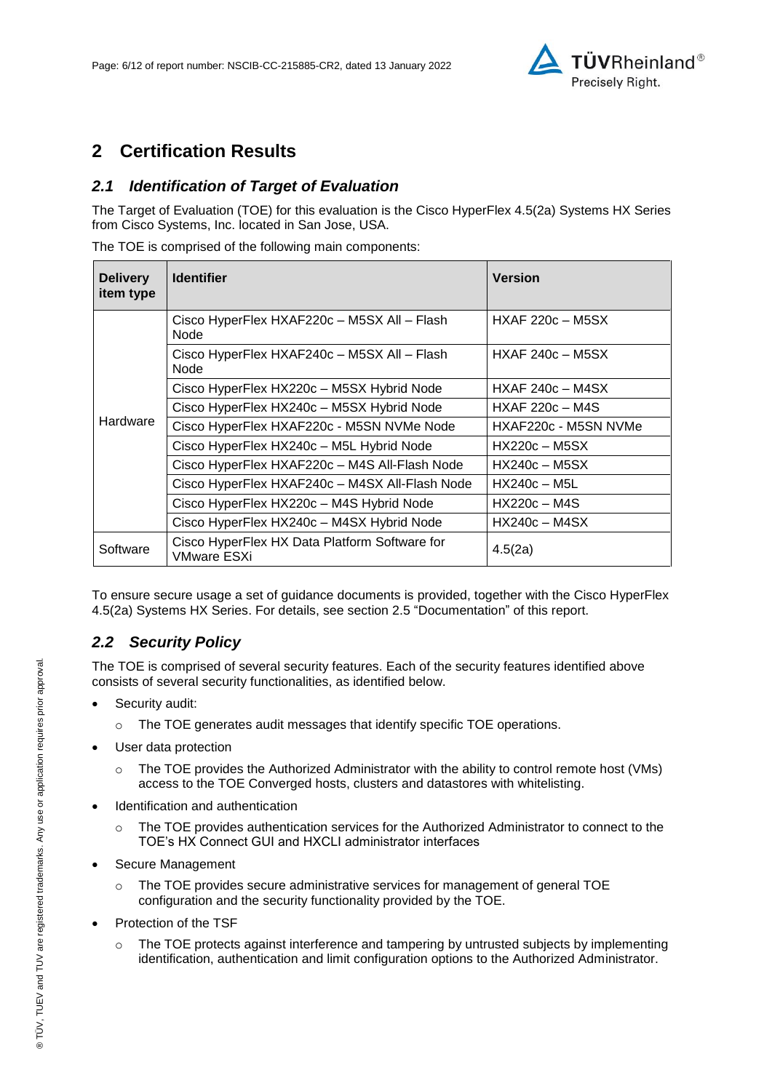

## **2 Certification Results**

### *2.1 Identification of Target of Evaluation*

The Target of Evaluation (TOE) for this evaluation is the [Cisco HyperFlex 4.5\(2a\) Systems HX Series](#page-0-3) from [Cisco Systems, Inc.](#page-0-4) located in [San Jose, USA.](#page-4-1)

| <b>Delivery</b><br>item type | <b>Identifier</b>                                            | <b>Version</b>        |
|------------------------------|--------------------------------------------------------------|-----------------------|
| Hardware                     | Cisco HyperFlex HXAF220c - M5SX All - Flash<br><b>Node</b>   | $HXAF$ 220 $c$ – M5SX |
|                              | Cisco HyperFlex HXAF240c - M5SX All - Flash<br>Node          | $HXAF 240c - M5SX$    |
|                              | Cisco HyperFlex HX220c - M5SX Hybrid Node                    | $HXAF 240c - M4SX$    |
|                              | Cisco HyperFlex HX240c - M5SX Hybrid Node                    | $HXAF 220c - M4S$     |
|                              | Cisco HyperFlex HXAF220c - M5SN NVMe Node                    | HXAF220c - M5SN NVMe  |
|                              | Cisco HyperFlex HX240c - M5L Hybrid Node                     | $HX220c - M5SX$       |
|                              | Cisco HyperFlex HXAF220c - M4S All-Flash Node                | $HX240c - M5SX$       |
|                              | Cisco HyperFlex HXAF240c - M4SX All-Flash Node               | $HX240c - M5L$        |
|                              | Cisco HyperFlex HX220c - M4S Hybrid Node                     | $HX220c - M4S$        |
|                              | Cisco HyperFlex HX240c - M4SX Hybrid Node                    | $HX240c - M4SX$       |
| Software                     | Cisco HyperFlex HX Data Platform Software for<br>VMware ESXi | 4.5(2a)               |

The TOE is comprised of the following main components:

To ensure secure usage a set of guidance documents is provided, together with the [Cisco HyperFlex](#page-0-3)  [4.5\(2a\) Systems HX Series.](#page-0-3) For details, see section [2.5](#page-6-0) ["Documentation"](#page-6-0) of this report.

### *2.2 Security Policy*

The TOE is comprised of several security features. Each of the security features identified above consists of several security functionalities, as identified below.

- Security audit:
	- o The TOE generates audit messages that identify specific TOE operations.
- User data protection
	- $\circ$  The TOE provides the Authorized Administrator with the ability to control remote host (VMs) access to the TOE Converged hosts, clusters and datastores with whitelisting.
- Identification and authentication
	- o The TOE provides authentication services for the Authorized Administrator to connect to the TOE's HX Connect GUI and HXCLI administrator interfaces
- Secure Management
	- $\circ$  The TOE provides secure administrative services for management of general TOE configuration and the security functionality provided by the TOE.
- Protection of the TSF
	- $\circ$  The TOE protects against interference and tampering by untrusted subjects by implementing identification, authentication and limit configuration options to the Authorized Administrator.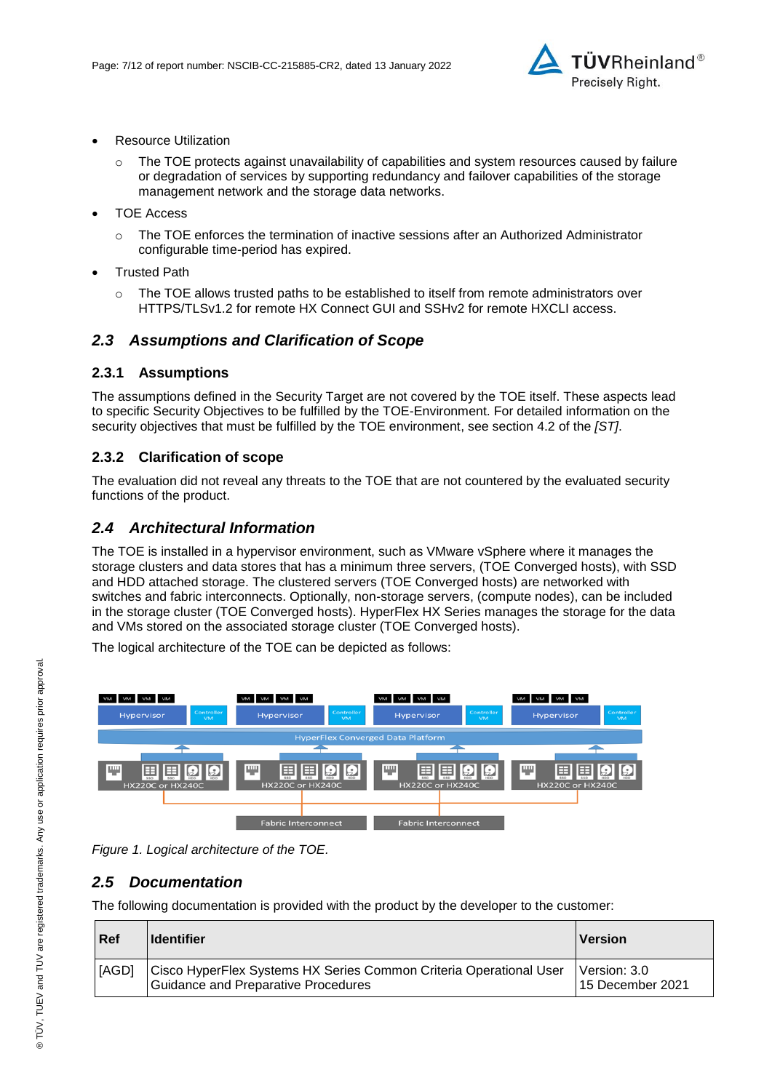

- Resource Utilization
	- $\circ$  The TOE protects against unavailability of capabilities and system resources caused by failure or degradation of services by supporting redundancy and failover capabilities of the storage management network and the storage data networks.
- TOE Access
	- $\circ$  The TOE enforces the termination of inactive sessions after an Authorized Administrator configurable time-period has expired.
- Trusted Path
	- The TOE allows trusted paths to be established to itself from remote administrators over HTTPS/TLSv1.2 for remote HX Connect GUI and SSHv2 for remote HXCLI access.

#### *2.3 Assumptions and Clarification of Scope*

#### **2.3.1 Assumptions**

The assumptions defined in the Security Target are not covered by the TOE itself. These aspects lead to specific Security Objectives to be fulfilled by the TOE-Environment. For detailed information on the security objectives that must be fulfilled by the TOE environment, see section 4.2 of the *[ST]*.

#### **2.3.2 Clarification of scope**

The evaluation did not reveal any threats to the TOE that are not countered by the evaluated security functions of the product.

#### *2.4 Architectural Information*

The TOE is installed in a hypervisor environment, such as VMware vSphere where it manages the storage clusters and data stores that has a minimum three servers, (TOE Converged hosts), with SSD and HDD attached storage. The clustered servers (TOE Converged hosts) are networked with switches and fabric interconnects. Optionally, non-storage servers, (compute nodes), can be included in the storage cluster (TOE Converged hosts). HyperFlex HX Series manages the storage for the data and VMs stored on the associated storage cluster (TOE Converged hosts).

The logical architecture of the TOE can be depicted as follows:



*Figure 1. Logical architecture of the TOE.*

#### <span id="page-6-0"></span>*2.5 Documentation*

The following documentation is provided with the product by the developer to the customer:

| Ref          | <b>Identifier</b>                                                                                                | <b>Version</b>                       |
|--------------|------------------------------------------------------------------------------------------------------------------|--------------------------------------|
| <b>IAGDI</b> | Cisco HyperFlex Systems HX Series Common Criteria Operational User<br><b>Guidance and Preparative Procedures</b> | l Version: 3.0 I<br>15 December 2021 |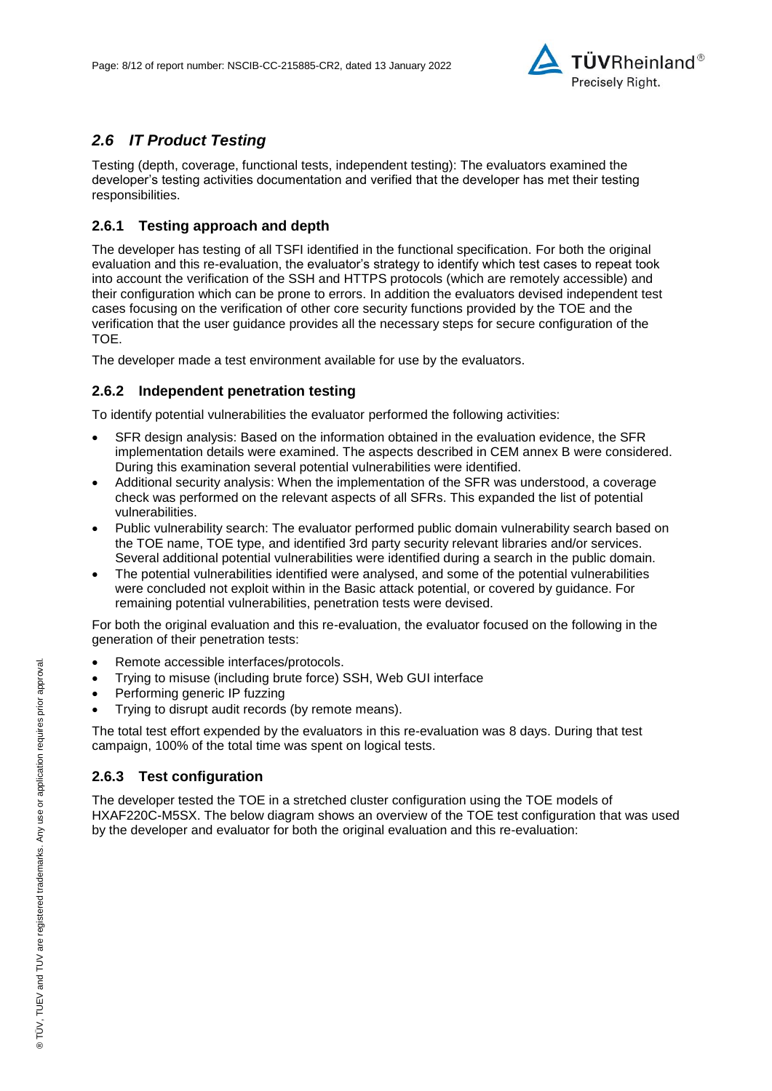

### *2.6 IT Product Testing*

Testing (depth, coverage, functional tests, independent testing): The evaluators examined the developer's testing activities documentation and verified that the developer has met their testing responsibilities.

#### **2.6.1 Testing approach and depth**

The developer has testing of all TSFI identified in the functional specification. For both the original evaluation and this re-evaluation, the evaluator's strategy to identify which test cases to repeat took into account the verification of the SSH and HTTPS protocols (which are remotely accessible) and their configuration which can be prone to errors. In addition the evaluators devised independent test cases focusing on the verification of other core security functions provided by the TOE and the verification that the user guidance provides all the necessary steps for secure configuration of the TOE.

The developer made a test environment available for use by the evaluators.

#### **2.6.2 Independent penetration testing**

To identify potential vulnerabilities the evaluator performed the following activities:

- SFR design analysis: Based on the information obtained in the evaluation evidence, the SFR implementation details were examined. The aspects described in CEM annex B were considered. During this examination several potential vulnerabilities were identified.
- Additional security analysis: When the implementation of the SFR was understood, a coverage check was performed on the relevant aspects of all SFRs. This expanded the list of potential vulnerabilities.
- Public vulnerability search: The evaluator performed public domain vulnerability search based on the TOE name, TOE type, and identified 3rd party security relevant libraries and/or services. Several additional potential vulnerabilities were identified during a search in the public domain.
- The potential vulnerabilities identified were analysed, and some of the potential vulnerabilities were concluded not exploit within in the Basic attack potential, or covered by guidance. For remaining potential vulnerabilities, penetration tests were devised.

For both the original evaluation and this re-evaluation, the evaluator focused on the following in the generation of their penetration tests:

- Remote accessible interfaces/protocols.
- Trying to misuse (including brute force) SSH, Web GUI interface
- Performing generic IP fuzzing
- Trying to disrupt audit records (by remote means).

The total test effort expended by the evaluators in this re-evaluation was 8 days. During that test campaign, 100% of the total time was spent on logical tests.

#### **2.6.3 Test configuration**

The developer tested the TOE in a stretched cluster configuration using the TOE models of HXAF220C-M5SX. The below diagram shows an overview of the TOE test configuration that was used by the developer and evaluator for both the original evaluation and this re-evaluation: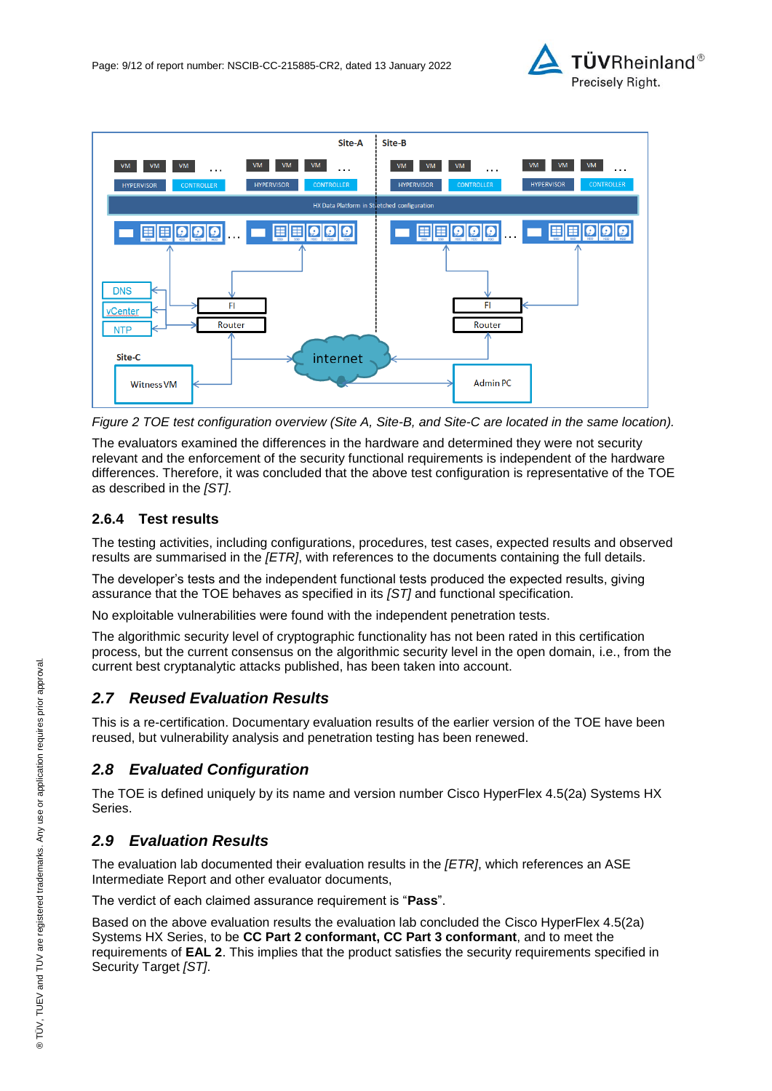



*Figure 2 TOE test configuration overview (Site A, Site-B, and Site-C are located in the same location).*

The evaluators examined the differences in the hardware and determined they were not security relevant and the enforcement of the security functional requirements is independent of the hardware differences. Therefore, it was concluded that the above test configuration is representative of the TOE as described in the *[ST]*.

#### **2.6.4 Test results**

The testing activities, including configurations, procedures, test cases, expected results and observed results are summarised in the *[ETR]*, with references to the documents containing the full details.

The developer's tests and the independent functional tests produced the expected results, giving assurance that the TOE behaves as specified in its *[ST]* and functional specification.

No exploitable vulnerabilities were found with the independent penetration tests.

The algorithmic security level of cryptographic functionality has not been rated in this certification process, but the current consensus on the algorithmic security level in the open domain, i.e., from the current best cryptanalytic attacks published, has been taken into account.

### *2.7 Reused Evaluation Results*

This is a re-certification. Documentary evaluation results of the earlier version of the TOE have been reused, but vulnerability analysis and penetration testing has been renewed.

### *2.8 Evaluated Configuration*

The TOE is defined uniquely by its name and version number [Cisco HyperFlex 4.5\(2a\) Systems HX](#page-0-3)  [Series.](#page-0-3)

### *2.9 Evaluation Results*

The evaluation lab documented their evaluation results in the *[ETR]*, which references an ASE Intermediate Report and other evaluator documents,

The verdict of each claimed assurance requirement is "**Pass**".

Based on the above evaluation results the evaluation lab concluded the [Cisco HyperFlex 4.5\(2a\)](#page-0-3)  [Systems HX Series,](#page-0-3) to be **CC Part 2 conformant, CC Part 3 conformant**, and to meet the requirements of **EAL [2](#page-4-2)**. This implies that the product satisfies the security requirements specified in Security Target *[ST]*.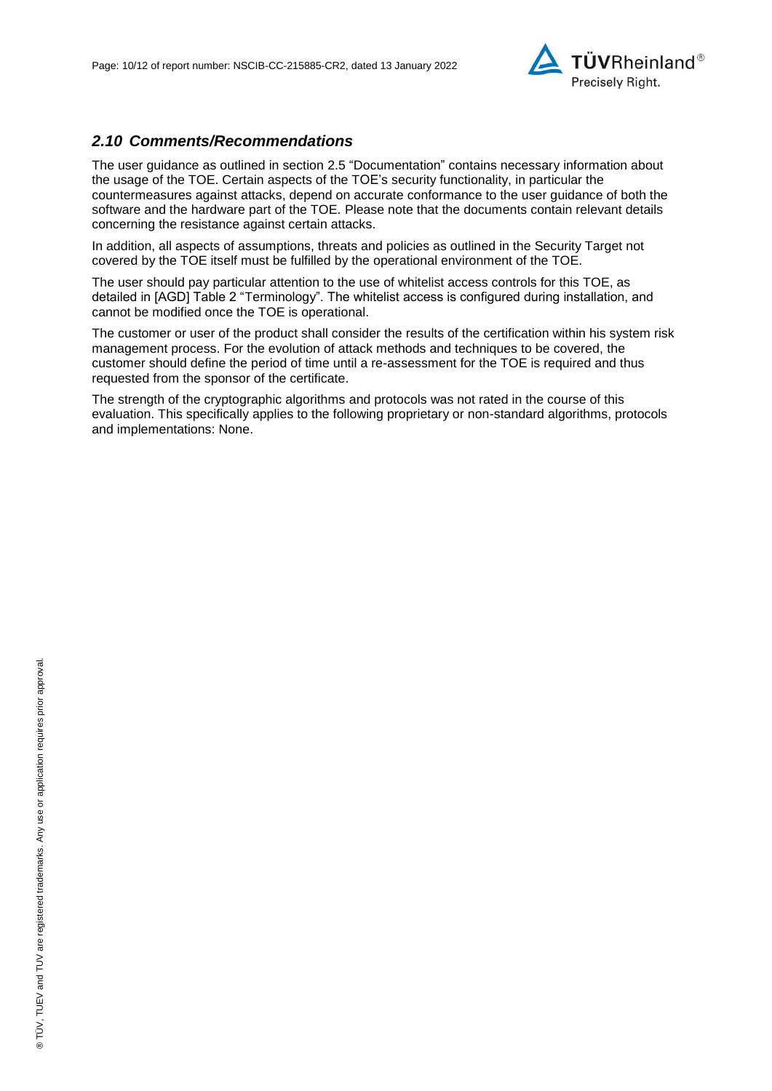

#### *2.10 Comments/Recommendations*

The user guidance as outlined in section [2.5](#page-6-0) ["Documentation"](#page-6-0) contains necessary information about the usage of the TOE. Certain aspects of the TOE's security functionality, in particular the countermeasures against attacks, depend on accurate conformance to the user guidance of both the software and the hardware part of the TOE. Please note that the documents contain relevant details concerning the resistance against certain attacks.

In addition, all aspects of assumptions, threats and policies as outlined in the Security Target not covered by the TOE itself must be fulfilled by the operational environment of the TOE.

The user should pay particular attention to the use of whitelist access controls for this TOE, as detailed in [AGD] Table 2 "Terminology". The whitelist access is configured during installation, and cannot be modified once the TOE is operational.

The customer or user of the product shall consider the results of the certification within his system risk management process. For the evolution of attack methods and techniques to be covered, the customer should define the period of time until a re-assessment for the TOE is required and thus requested from the sponsor of the certificate.

The strength of the cryptographic algorithms and protocols was not rated in the course of this evaluation. This specifically applies to the following proprietary or non-standard algorithms, protocols and implementations: None.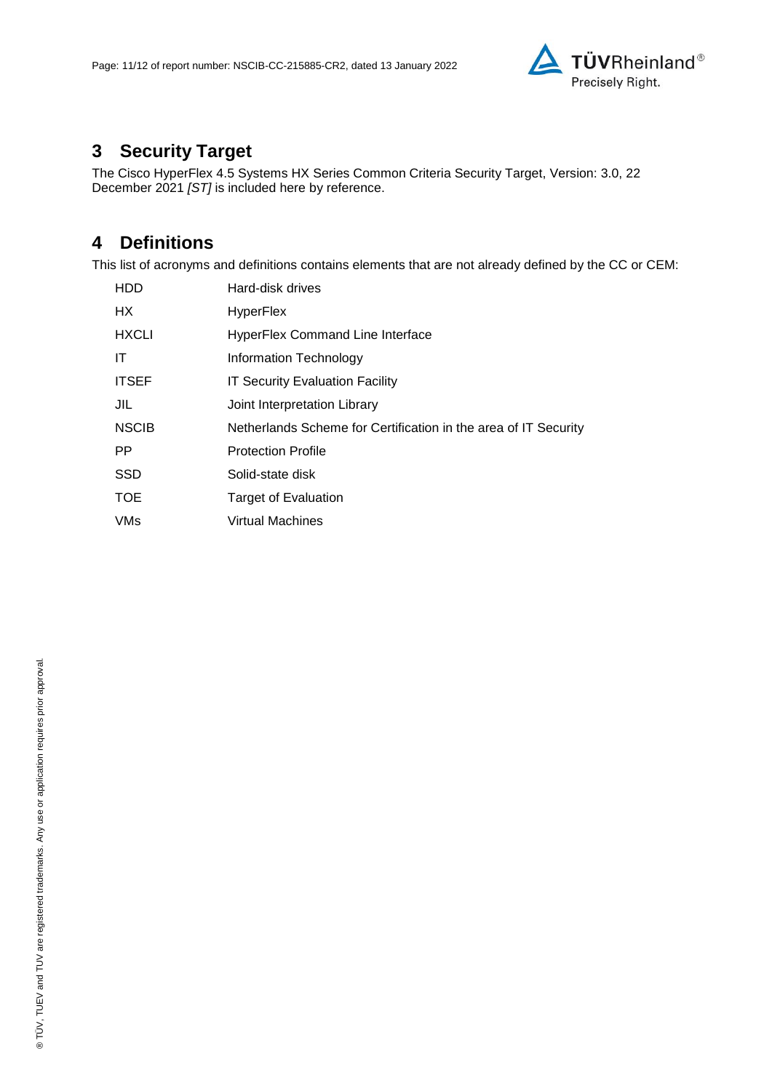

## **3 Security Target**

The [Cisco HyperFlex 4.5 Systems HX Series Common Criteria Security Target, Version: 3.0, 22](#page-11-0)  [December 2021](#page-11-0) *[ST]* is included here by reference.

### **4 Definitions**

This list of acronyms and definitions contains elements that are not already defined by the CC or CEM:

| <b>HDD</b>   | Hard-disk drives                                                |
|--------------|-----------------------------------------------------------------|
| HX.          | <b>HyperFlex</b>                                                |
| <b>HXCLI</b> | <b>HyperFlex Command Line Interface</b>                         |
| ΙT           | Information Technology                                          |
| <b>ITSEF</b> | <b>IT Security Evaluation Facility</b>                          |
| JIL          | Joint Interpretation Library                                    |
| <b>NSCIB</b> | Netherlands Scheme for Certification in the area of IT Security |
| PP.          | <b>Protection Profile</b>                                       |
| <b>SSD</b>   | Solid-state disk                                                |
| <b>TOE</b>   | <b>Target of Evaluation</b>                                     |
| <b>VMs</b>   | Virtual Machines                                                |